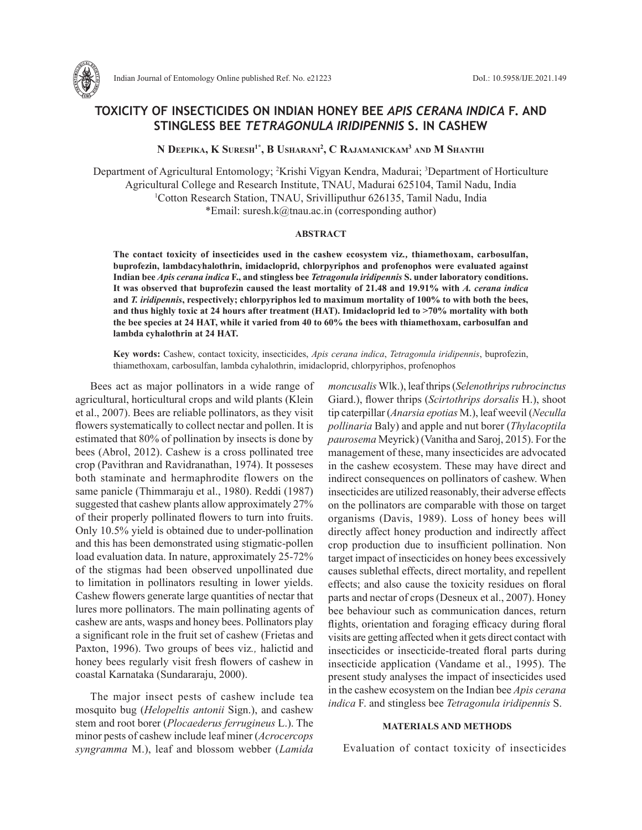

Indian Journal of Entomology Online published Ref. No. e21223 DoI.: 10.5958/IJE.2021.149

# **TOXICITY OF INSECTICIDES ON INDIAN HONEY BEE** *APIS CERANA INDICA* **F. AND STINGLESS BEE** *TETRAGONULA IRIDIPENNIS* **S. IN CASHEW**

**N Deepika, K Suresh1\*, B Usharani 2 , C Rajamanickam3 and M Shanthi**

Department of Agricultural Entomology; 2 Krishi Vigyan Kendra, Madurai; 3 Department of Horticulture Agricultural College and Research Institute, TNAU, Madurai 625104, Tamil Nadu, India 1 Cotton Research Station, TNAU, Srivilliputhur 626135, Tamil Nadu, India \*Email: suresh.k@tnau.ac.in (corresponding author)

### **ABSTRACT**

**The contact toxicity of insecticides used in the cashew ecosystem viz***.,* **thiamethoxam, carbosulfan, buprofezin, lambdacyhalothrin, imidacloprid, chlorpyriphos and profenophos were evaluated against Indian bee** *Apis cerana indica* **F., and stingless bee** *Tetragonula iridipennis* **S. under laboratory conditions. It was observed that buprofezin caused the least mortality of 21.48 and 19.91% with** *A. cerana indica* **and** *T. iridipennis***, respectively; chlorpyriphos led to maximum mortality of 100% to with both the bees, and thus highly toxic at 24 hours after treatment (HAT). Imidacloprid led to >70% mortality with both the bee species at 24 HAT, while it varied from 40 to 60% the bees with thiamethoxam, carbosulfan and lambda cyhalothrin at 24 HAT.** 

**Key words:** Cashew, contact toxicity, insecticides, *Apis cerana indica*, *Tetragonula iridipennis*, buprofezin, thiamethoxam, carbosulfan, lambda cyhalothrin, imidacloprid, chlorpyriphos, profenophos

Bees act as major pollinators in a wide range of agricultural, horticultural crops and wild plants (Klein et al., 2007). Bees are reliable pollinators, as they visit flowers systematically to collect nectar and pollen. It is estimated that 80% of pollination by insects is done by bees (Abrol, 2012). Cashew is a cross pollinated tree crop (Pavithran and Ravidranathan, 1974). It posseses both staminate and hermaphrodite flowers on the same panicle (Thimmaraju et al., 1980). Reddi (1987) suggested that cashew plants allow approximately 27% of their properly pollinated flowers to turn into fruits. Only 10.5% yield is obtained due to under-pollination and this has been demonstrated using stigmatic-pollen load evaluation data. In nature, approximately 25-72% of the stigmas had been observed unpollinated due to limitation in pollinators resulting in lower yields. Cashew flowers generate large quantities of nectar that lures more pollinators. The main pollinating agents of cashew are ants, wasps and honey bees. Pollinators play a significant role in the fruit set of cashew (Frietas and Paxton, 1996). Two groups of bees viz*.,* halictid and honey bees regularly visit fresh flowers of cashew in coastal Karnataka (Sundararaju, 2000).

The major insect pests of cashew include tea mosquito bug (*Helopeltis antonii* Sign.), and cashew stem and root borer (*Plocaederus ferrugineus* L.). The minor pests of cashew include leaf miner (*Acrocercops syngramma* M.), leaf and blossom webber (*Lamida*

*moncusalis* Wlk.), leaf thrips (*Selenothrips rubrocinctus*  Giard.), flower thrips (*Scirtothrips dorsalis* H.), shoot tip caterpillar (*Anarsia epotias* M.), leaf weevil (*Neculla pollinaria* Baly) and apple and nut borer (*Thylacoptila paurosema* Meyrick) (Vanitha and Saroj, 2015). For the management of these, many insecticides are advocated in the cashew ecosystem. These may have direct and indirect consequences on pollinators of cashew. When insecticides are utilized reasonably, their adverse effects on the pollinators are comparable with those on target organisms (Davis, 1989). Loss of honey bees will directly affect honey production and indirectly affect crop production due to insufficient pollination. Non target impact of insecticides on honey bees excessively causes sublethal effects, direct mortality, and repellent effects; and also cause the toxicity residues on floral parts and nectar of crops (Desneux et al., 2007). Honey bee behaviour such as communication dances, return flights, orientation and foraging efficacy during floral visits are getting affected when it gets direct contact with insecticides or insecticide-treated floral parts during insecticide application (Vandame et al., 1995). The present study analyses the impact of insecticides used in the cashew ecosystem on the Indian bee *Apis cerana indica* F. and stingless bee *Tetragonula iridipennis* S.

## **MATERIALS AND METHODS**

Evaluation of contact toxicity of insecticides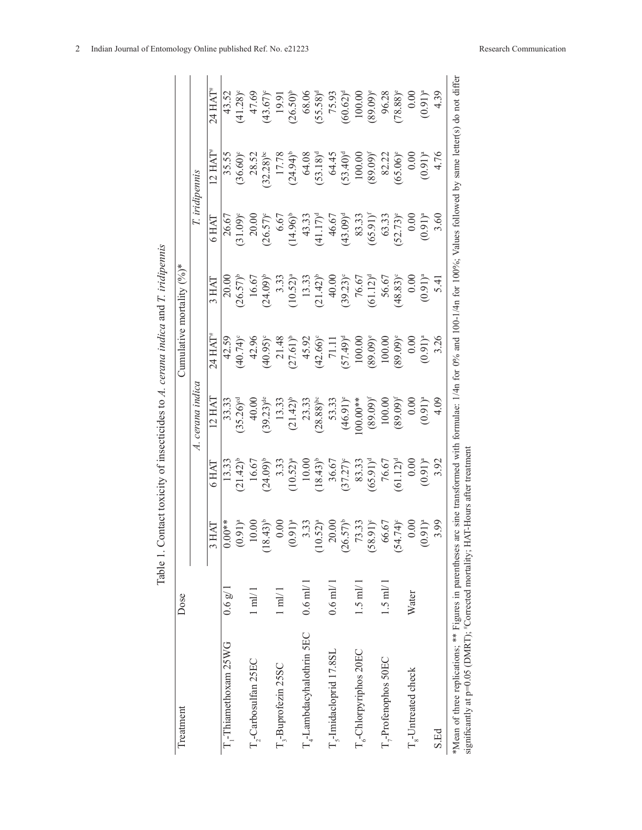| Treatment                                              | Dose             |                            |                   |                                                                                                                        |                        | Cumulative mortality $(°6)$ * |                        |                         |                        |
|--------------------------------------------------------|------------------|----------------------------|-------------------|------------------------------------------------------------------------------------------------------------------------|------------------------|-------------------------------|------------------------|-------------------------|------------------------|
|                                                        |                  |                            |                   | A. cerana indica                                                                                                       |                        |                               |                        | T. iridipennis          |                        |
|                                                        |                  | 3 HAT                      | 5 HAT             | 12 HAT                                                                                                                 | $24$ HAT*              | 3 HAI                         | $5\,\mathrm{HAT}$      | $2 HAT^*$               | $24$ HAT <sup>#</sup>  |
| T <sub>r</sub> -Thiamethoxam 25WG                      | 0.6 g/           | $-0.0$<br>$\bar{\circ}$    | 13.33             | 33.33                                                                                                                  | 42.59                  | 20.00                         | 26.67                  | 35.55                   | 43.52                  |
|                                                        |                  | $(191)^a$                  | $(21.42)^{b}$     | $35.26$ <sup>oc</sup>                                                                                                  | $(40.74)$ °            | $26.57)$ <sup>b</sup>         | $(31.09)^{c}$          | $36.60$ <sup>o</sup>    | $(41.28)^c$            |
| T,-Carbosulfan 25EC                                    | $1 \text{ ml}/1$ | 0.00                       | 16.67             | 40.00                                                                                                                  | 42.96                  | 16.67                         | 20.00                  | 28.52                   | 47.69                  |
|                                                        |                  | $(43)^{b}$<br>$\approx$    | $(24.09)^{b}$     | $(39.23)$ <sup>de</sup>                                                                                                | $(40.95)^{\circ}$      | $24.09)$ <sup>b</sup>         | $(26.57)^{\circ}$      | $(32.28)$ <sup>bc</sup> | $(43.67)$ °            |
| T <sub>3</sub> -Buprofezin 25SC                        | $1 \text{ ml}/1$ | 0.00                       | 3.33              | 13.33                                                                                                                  |                        | 3.33                          | 6.67                   | 17.78                   | 19.91                  |
|                                                        |                  | $(91)^a$                   | $(10.52)^{a}$     | $(21.42)^{b}$                                                                                                          | 21.48                  | $(10.52)^a$                   | $(14.96)^{b}$          | $(24.94)^{b}$           | $(26.50)^{b}$          |
| T <sub>4</sub> -Lambdacyhalothrin SEC                  | $0.6$ ml/ $1$    | 3.33                       | 10.00             | 23.33                                                                                                                  | 45.92                  |                               | 43.33                  | 64.08                   | 68.06                  |
|                                                        |                  | $(52)^a$                   | $(18.43)^{b}$     | $(28.88)$ <sup>bc</sup>                                                                                                |                        | $13.33$<br>$(21.42)^b$        | $(41.17)$ <sup>d</sup> | $(53.18)^d$             | $(55.58)^d$            |
| T <sub>c</sub> -Imidacloprid 17.8SL                    | $0.6$ m $V$ l    | 20.00                      | 36.67             |                                                                                                                        | $(42.66)^{o}$<br>71.11 | 40.00                         | 46.67                  | 64.45                   | 75.93                  |
|                                                        |                  | $(57)^b$<br>$\approx$      | $(37.27)^{\circ}$ | $53.33$<br>(46.91) <sup>e</sup>                                                                                        | (64.75)                | $(39.23)^{\circ}$             | $(43.09)^d$            | $53.40)^d$              | $(60.62)^d$            |
| T <sub>c</sub> -Chlorpyriphos 20EC                     | $1.5$ m $1/1$    | 73.33                      | 83.33             | $00.00**$                                                                                                              | 100.00                 | 76.67                         | 83.33                  | 100.00                  | 100.00                 |
|                                                        |                  | (16.8)<br>$\frac{8}{3}$    | $(65.91)^d$       | $(89.09)^f$                                                                                                            | (60.68)                | $(61.12)^d$                   | $(65.91)^{r}$          | $(89.09)^f$             | $(89.09)$ <sup>e</sup> |
| T <sub>7</sub> -Profenophos 50EC                       | $1.5 \text{ mV}$ | 56.67                      | 76.67             | 100.00                                                                                                                 | 100.00                 | 56.67                         | 63.33                  | 82.22                   | 96.28                  |
|                                                        |                  | $1.74$ <sup>o</sup><br>(54 | $(61.12)^d$       | $(89.09)^f$                                                                                                            | (60.68)                | $(48.83)$ <sup>c</sup>        | $(52.73)$ <sup>e</sup> | $(65.06)$ <sup>e</sup>  | $78.88$ <sup>e</sup>   |
| T <sub>s</sub> -Untreated check                        | Water            | 0.00                       | 0.00              | 0.00                                                                                                                   | 0.00                   | 0.00                          | 0.00                   | 0.00                    | 0.00                   |
|                                                        |                  | $(91)^a$                   | $(0.91)^{a}$      | $(0.91)^{a}$                                                                                                           | $(0.91)^{a}$           | $(0.91)^{a}$                  | $(0.91)^{a}$           | $(0.91)^{a}$            | $(0.91)^{a}$           |
| S.Ed                                                   |                  | 3.99                       | 3.92              | 4.09                                                                                                                   | 3.26                   |                               |                        | 4.76                    | 4.39                   |
| *Mean of three replications; ** Figures in parentheses |                  |                            |                   | are sine transformed with formulae: 1/4n for 0% and 100-1/4n for 100%; Values followed by same letter(s) do not differ |                        |                               |                        |                         |                        |

Table 1. Contact toxicity of insecticides to A. cerana indica and T. iridipennis Table 1. Contact toxicity of insecticides to *A. cerana indica* and *T. iridipennis*

b. \*Mean of three replications; \*\* Figures in parentheses arc sine transformed with significantly at  $p=0.05$  (DMRT);  $\text{``Correct}$  mortality;  $\text{HAT-Hours}$  after treatment significantly at p=0.05 (DMRT); #Corrected mortality; HAT-Hours after treatment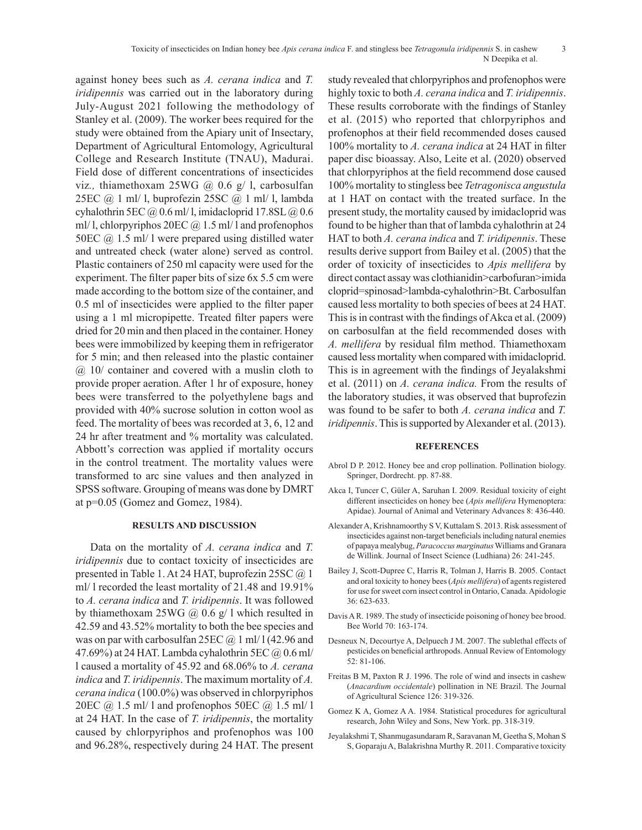#### Toxicity of insecticides on Indian honey bee *Apis cerana indica* F. and stingless bee *Tetragonula iridipennis* S. in cashew 3 N Deepika et al.

against honey bees such as *A. cerana indica* and *T. iridipennis* was carried out in the laboratory during July-August 2021 following the methodology of Stanley et al. (2009). The worker bees required for the study were obtained from the Apiary unit of Insectary, Department of Agricultural Entomology, Agricultural College and Research Institute (TNAU), Madurai. Field dose of different concentrations of insecticides viz*.,* thiamethoxam 25WG @ 0.6 g/ l, carbosulfan 25EC @ 1 ml/ l, buprofezin 25SC @ 1 ml/ l, lambda cyhalothrin 5EC  $@$  0.6 ml/l, imidacloprid 17.8SL  $@$  0.6 ml/ l, chlorpyriphos 20EC @ 1.5 ml/ l and profenophos 50EC @ 1.5 ml/ l were prepared using distilled water and untreated check (water alone) served as control. Plastic containers of 250 ml capacity were used for the experiment. The filter paper bits of size 6x 5.5 cm were made according to the bottom size of the container, and 0.5 ml of insecticides were applied to the filter paper using a 1 ml micropipette. Treated filter papers were dried for 20 min and then placed in the container. Honey bees were immobilized by keeping them in refrigerator for 5 min; and then released into the plastic container @ 10/ container and covered with a muslin cloth to provide proper aeration. After 1 hr of exposure, honey bees were transferred to the polyethylene bags and provided with 40% sucrose solution in cotton wool as feed. The mortality of bees was recorded at 3, 6, 12 and 24 hr after treatment and % mortality was calculated. Abbott's correction was applied if mortality occurs in the control treatment. The mortality values were transformed to arc sine values and then analyzed in SPSS software. Grouping of means was done by DMRT at p=0.05 (Gomez and Gomez, 1984).

## **RESULTS AND DISCUSSION**

Data on the mortality of *A. cerana indica* and *T. iridipennis* due to contact toxicity of insecticides are presented in Table 1. At 24 HAT, buprofezin 25SC @ 1 ml/ l recorded the least mortality of 21.48 and 19.91% to *A. cerana indica* and *T. iridipennis*. It was followed by thiamethoxam 25WG  $\omega$  0.6 g/ l which resulted in 42.59 and 43.52% mortality to both the bee species and was on par with carbosulfan  $25EC @ 1 ml/1 (42.96 and$ 47.69%) at 24 HAT. Lambda cyhalothrin 5EC @ 0.6 ml/ l caused a mortality of 45.92 and 68.06% to *A. cerana indica* and *T. iridipennis*. The maximum mortality of *A. cerana indica* (100.0%) was observed in chlorpyriphos 20EC  $\omega$  1.5 ml/ l and profenophos 50EC  $\omega$  1.5 ml/ l at 24 HAT. In the case of *T. iridipennis*, the mortality caused by chlorpyriphos and profenophos was 100 and 96.28%, respectively during 24 HAT. The present

study revealed that chlorpyriphos and profenophos were highly toxic to both *A. cerana indica* and *T. iridipennis*. These results corroborate with the findings of Stanley et al. (2015) who reported that chlorpyriphos and profenophos at their field recommended doses caused 100% mortality to *A. cerana indica* at 24 HAT in filter paper disc bioassay. Also, Leite et al. (2020) observed that chlorpyriphos at the field recommend dose caused 100% mortality to stingless bee *Tetragonisca angustula* at 1 HAT on contact with the treated surface. In the present study, the mortality caused by imidacloprid was found to be higher than that of lambda cyhalothrin at 24 HAT to both *A. cerana indica* and *T. iridipennis*. These results derive support from Bailey et al. (2005) that the order of toxicity of insecticides to *Apis mellifera* by direct contact assay was clothianidin>carbofuran>imida cloprid=spinosad>lambda-cyhalothrin>Bt. Carbosulfan caused less mortality to both species of bees at 24 HAT. This is in contrast with the findings of Akca et al. (2009) on carbosulfan at the field recommended doses with *A. mellifera* by residual film method. Thiamethoxam caused less mortality when compared with imidacloprid. This is in agreement with the findings of Jeyalakshmi et al. (2011) on *A. cerana indica.* From the results of the laboratory studies, it was observed that buprofezin was found to be safer to both *A. cerana indica* and *T. iridipennis*. This is supported by Alexander et al. (2013).

#### **REFERENCES**

- Abrol D P. 2012. Honey bee and crop pollination. Pollination biology. Springer, Dordrecht. pp. 87-88.
- Akca I, Tuncer C, Güler A, Saruhan I. 2009. Residual toxicity of eight different insecticides on honey bee (*Apis mellifera* Hymenoptera: Apidae). Journal of Animal and Veterinary Advances 8: 436-440.
- Alexander A, Krishnamoorthy S V, Kuttalam S. 2013. Risk assessment of insecticides against non-target beneficials including natural enemies of papaya mealybug, *Paracoccus marginatus* Williams and Granara de Willink. Journal of Insect Science (Ludhiana) 26: 241-245.
- Bailey J, Scott-Dupree C, Harris R, Tolman J, Harris B. 2005. Contact and oral toxicity to honey bees (*Apis mellifera*) of agents registered for use for sweet corn insect control in Ontario, Canada. Apidologie 36: 623-633.
- Davis A R. 1989. The study of insecticide poisoning of honey bee brood. Bee World 70: 163-174.
- Desneux N, Decourtye A, Delpuech J M. 2007. The sublethal effects of pesticides on beneficial arthropods. Annual Review of Entomology 52: 81-106.
- Freitas B M, Paxton R J. 1996. The role of wind and insects in cashew (*Anacardium occidentale*) pollination in NE Brazil. The Journal of Agricultural Science 126: 319-326.
- Gomez K A, Gomez A A. 1984. Statistical procedures for agricultural research, John Wiley and Sons, New York. pp. 318-319.
- Jeyalakshmi T, Shanmugasundaram R, Saravanan M, Geetha S, Mohan S S, Goparaju A, Balakrishna Murthy R. 2011. Comparative toxicity